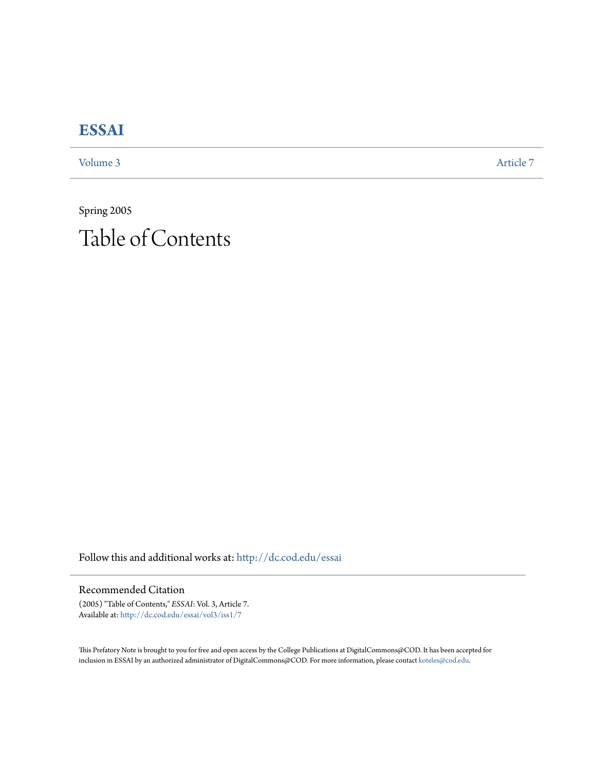## **[ESSAI](http://dc.cod.edu/essai?utm_source=dc.cod.edu%2Fessai%2Fvol3%2Fiss1%2F7&utm_medium=PDF&utm_campaign=PDFCoverPages)**

[Volume 3](http://dc.cod.edu/essai/vol3?utm_source=dc.cod.edu%2Fessai%2Fvol3%2Fiss1%2F7&utm_medium=PDF&utm_campaign=PDFCoverPages) [Article 7](http://dc.cod.edu/essai/vol3/iss1/7?utm_source=dc.cod.edu%2Fessai%2Fvol3%2Fiss1%2F7&utm_medium=PDF&utm_campaign=PDFCoverPages)

Spring 2005 Table of Contents

Follow this and additional works at: [http://dc.cod.edu/essai](http://dc.cod.edu/essai?utm_source=dc.cod.edu%2Fessai%2Fvol3%2Fiss1%2F7&utm_medium=PDF&utm_campaign=PDFCoverPages)

Recommended Citation

(2005) "Table of Contents," *ESSAI*: Vol. 3, Article 7. Available at: [http://dc.cod.edu/essai/vol3/iss1/7](http://dc.cod.edu/essai/vol3/iss1/7?utm_source=dc.cod.edu%2Fessai%2Fvol3%2Fiss1%2F7&utm_medium=PDF&utm_campaign=PDFCoverPages)

This Prefatory Note is brought to you for free and open access by the College Publications at DigitalCommons@COD. It has been accepted for inclusion in ESSAI by an authorized administrator of DigitalCommons@COD. For more information, please contact [koteles@cod.edu.](mailto:koteles@cod.edu)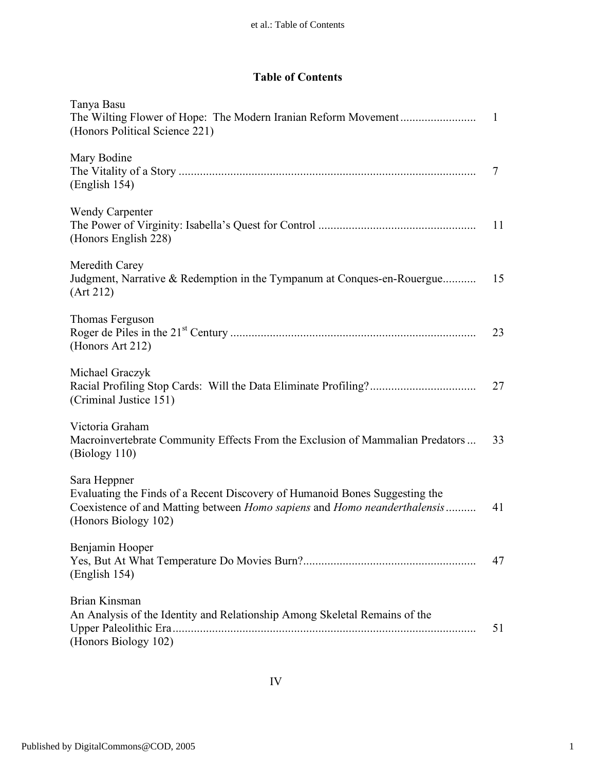## **Table of Contents**

| Tanya Basu<br>(Honors Political Science 221)                                                                                                                                                     | -1 |
|--------------------------------------------------------------------------------------------------------------------------------------------------------------------------------------------------|----|
| Mary Bodine<br>(English 154)                                                                                                                                                                     | 7  |
| <b>Wendy Carpenter</b><br>(Honors English 228)                                                                                                                                                   | 11 |
| Meredith Carey<br>Judgment, Narrative & Redemption in the Tympanum at Conques-en-Rouergue<br>(Art 212)                                                                                           | 15 |
| Thomas Ferguson<br>(Honors Art 212)                                                                                                                                                              | 23 |
| Michael Graczyk<br>(Criminal Justice 151)                                                                                                                                                        | 27 |
| Victoria Graham<br>Macroinvertebrate Community Effects From the Exclusion of Mammalian Predators<br>(Biology 110)                                                                                | 33 |
| Sara Heppner<br>Evaluating the Finds of a Recent Discovery of Humanoid Bones Suggesting the<br>Coexistence of and Matting between Homo sapiens and Homo neanderthalensis<br>(Honors Biology 102) | 41 |
| Benjamin Hooper<br>(English 154)                                                                                                                                                                 | 47 |
| Brian Kinsman<br>An Analysis of the Identity and Relationship Among Skeletal Remains of the<br>(Honors Biology 102)                                                                              | 51 |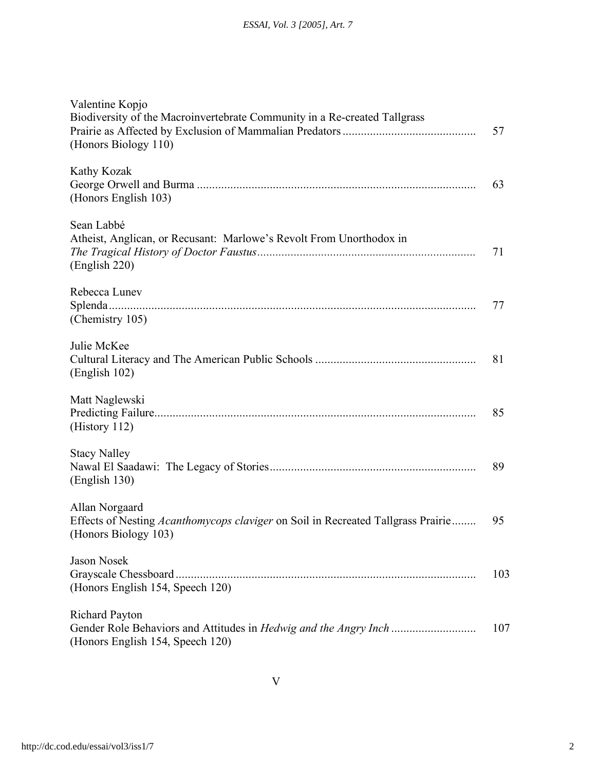| Valentine Kopjo<br>Biodiversity of the Macroinvertebrate Community in a Re-created Tallgrass<br>(Honors Biology 110)       | 57  |
|----------------------------------------------------------------------------------------------------------------------------|-----|
| Kathy Kozak<br>(Honors English 103)                                                                                        | 63  |
| Sean Labbé<br>Atheist, Anglican, or Recusant: Marlowe's Revolt From Unorthodox in<br>(English 220)                         | 71  |
| Rebecca Lunev<br>(Chemistry 105)                                                                                           | 77  |
| Julie McKee<br>(English 102)                                                                                               | 81  |
| Matt Naglewski<br>(History 112)                                                                                            | 85  |
| <b>Stacy Nalley</b><br>(English 130)                                                                                       | 89  |
| Allan Norgaard<br>Effects of Nesting Acanthomycops claviger on Soil in Recreated Tallgrass Prairie<br>(Honors Biology 103) | 95  |
| <b>Jason Nosek</b><br>Grayscale Chessboard<br>(Honors English 154, Speech 120)                                             | 103 |
| <b>Richard Payton</b><br>(Honors English 154, Speech 120)                                                                  | 107 |